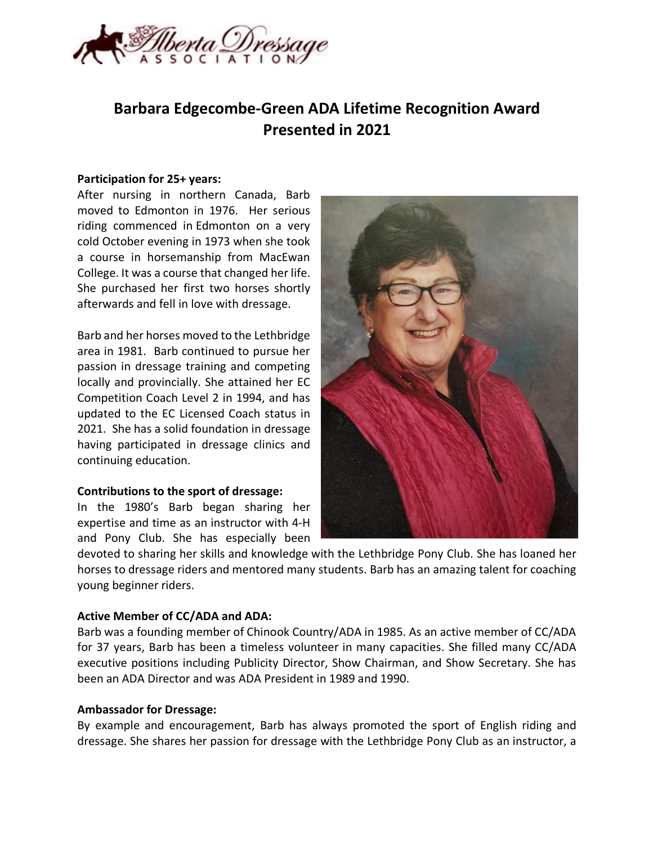

# **Barbara Edgecombe-Green ADA Lifetime Recognition Award Presented in 2021**

#### **Participation for 25+ years:**

After nursing in northern Canada, Barb moved to Edmonton in 1976. Her serious riding commenced in Edmonton on a very cold October evening in 1973 when she took a course in horsemanship from MacEwan College. It was a course that changed her life. She purchased her first two horses shortly afterwards and fell in love with dressage.

Barb and her horses moved to the Lethbridge area in 1981. Barb continued to pursue her passion in dressage training and competing locally and provincially. She attained her EC Competition Coach Level 2 in 1994, and has updated to the EC Licensed Coach status in 2021. She has a solid foundation in dressage having participated in dressage clinics and continuing education.

#### **Contributions to the sport of dressage:**

In the 1980's Barb began sharing her expertise and time as an instructor with 4-H and Pony Club. She has especially been



devoted to sharing her skills and knowledge with the Lethbridge Pony Club. She has loaned her horses to dressage riders and mentored many students. Barb has an amazing talent for coaching young beginner riders.

### **Active Member of CC/ADA and ADA:**

Barb was a founding member of Chinook Country/ADA in 1985. As an active member of CC/ADA for 37 years, Barb has been a timeless volunteer in many capacities. She filled many CC/ADA executive positions including Publicity Director, Show Chairman, and Show Secretary. She has been an ADA Director and was ADA President in 1989 and 1990.

### **Ambassador for Dressage:**

By example and encouragement, Barb has always promoted the sport of English riding and dressage. She shares her passion for dressage with the Lethbridge Pony Club as an instructor, a